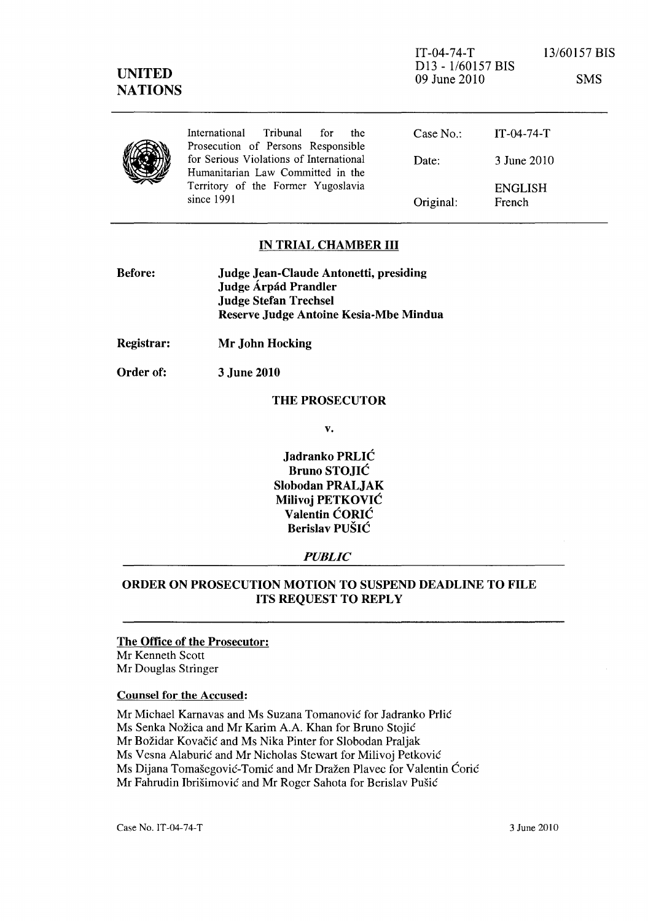| <b>UNITED</b><br><b>NATIONS</b> |                                                                                                                                  | $IT-04-74-T$<br>D <sub>13</sub> - 1/60157 BIS<br>09 June 2010 |                          | 13/60157 BIS<br><b>SMS</b> |
|---------------------------------|----------------------------------------------------------------------------------------------------------------------------------|---------------------------------------------------------------|--------------------------|----------------------------|
|                                 | Tribunal<br>International<br>for<br>the<br>Prosecution of Persons Responsible                                                    | Case $No.$ :                                                  | $IT - 04 - 74 - T$       |                            |
|                                 | for Serious Violations of International<br>Humanitarian Law Committed in the<br>Territory of the Former Yugoslavia<br>since 1991 | Date:                                                         | 3 June 2010              |                            |
|                                 |                                                                                                                                  | Original:                                                     | <b>ENGLISH</b><br>French |                            |

# IN TRIAL CHAMBER III

| <b>Before:</b> | Judge Jean-Claude Antonetti, presiding |
|----------------|----------------------------------------|
|                | Judge Árpád Prandler                   |
|                | <b>Judge Stefan Trechsel</b>           |
|                | Reserve Judge Antoine Kesia-Mbe Mindua |
|                |                                        |

- Registrar: Mr John Hocking
- Order of: 3 June 2010

# THE PROSECUTOR

v.

Jadranko PRLIC Bruno STOJIC Slobodan PRALJAK Milivoj PETKOVIC Valentin CORIC Berislav PUSIC

#### *PUBLIC*

# ORDER ON PROSECUTION MOTION TO SUSPEND DEADLINE TO FILE ITS REQUEST TO REPLY

# The Office of the Prosecutor:

Mr Kenneth Scott Mr Douglas Stringer

#### Counsel for the Accused:

Mr Michael Karnavas and Ms Suzana Tomanović for Jadranko Prlić Ms Senka Nožica and Mr Karim A.A. Khan for Bruno Stojić Mr Božidar Kovačić and Ms Nika Pinter for Slobodan Praljak Ms Vesna Alaburić and Mr Nicholas Stewart for Milivoj Petković Ms Dijana Tomašegović-Tomić and Mr Dražen Plavec for Valentin Ćorić Mr Fahrudin Ibrišimović and Mr Roger Sahota for Berislav Pušić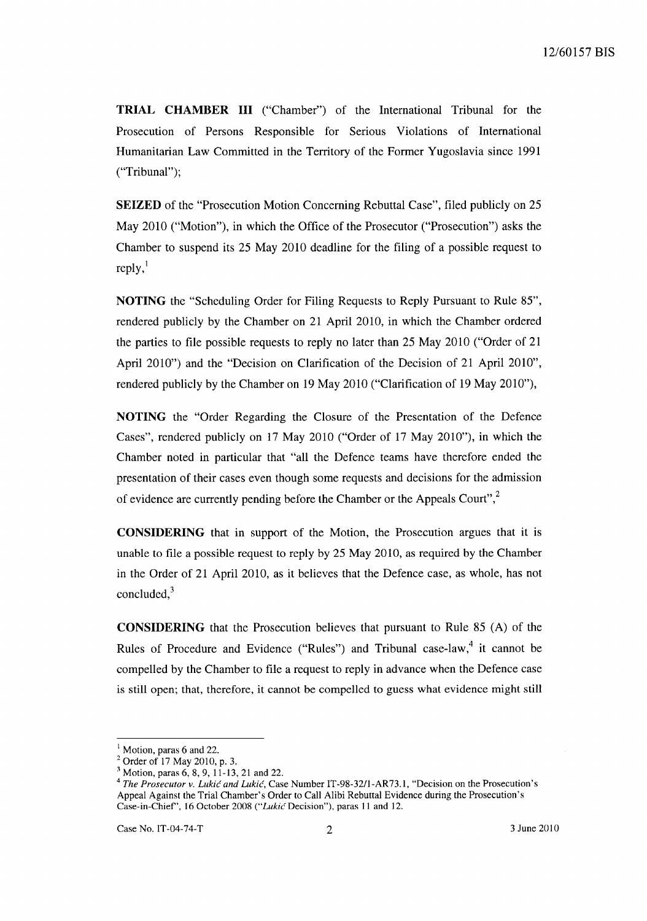**TRIAL CHAMBER III** ("Chamber") of the International Tribunal for the Prosecution of Persons Responsible for Serious Violations of International Humanitarian Law Committed in the Territory of the Former Yugoslavia since 1991 ("Tribunal");

**SEIZED** of the "Prosecution Motion Concerning Rebuttal Case", filed publicly on 25 May 2010 ("Motion"), in which the Office of the Prosecutor ("Prosecution") asks the Chamber to suspend its 25 May 2010 deadline for the filing of a possible request to  $reply,$ <sup> $\lceil$ </sup>

**NOTING** the "Scheduling Order for Filing Requests to Reply Pursuant to Rule 85", rendered publicly by the Chamber on 21 April 2010, in which the Chamber ordered the parties to file possible requests to reply no later than 25 May 2010 ("Order of 21 April 2010") and the "Decision on Clarification of the Decision of 21 April 2010", rendered publicly by the Chamber on 19 May 2010 ("Clarification of 19 May 2010"),

**NOTING** the "Order Regarding the Closure of the Presentation of the Defence Cases", rendered publicly on 17 May 2010 ("Order of 17 May 2010"), in which the Chamber noted in particular that "all the Defence teams have therefore ended the presentation of their cases even though some requests and decisions for the admission of evidence are currently pending before the Chamber or the Appeals Court",<sup>2</sup>

**CONSIDERING** that in support of the Motion, the Prosecution argues that it is unable to file a possible request to reply by 25 May 2010, as required by the Chamber in the Order of 21 April 2010, as it believes that the Defence case, as whole, has not concluded, $3$ 

**CONSIDERING** that the Prosecution believes that pursuant to Rule 85 (A) of the Rules of Procedure and Evidence ("Rules") and Tribunal case-law,<sup>4</sup> it cannot be compelled by the Chamber to file a request to reply in advance when the Defence case is still open; that, therefore, it cannot be compelled to guess what evidence might still

 $<sup>1</sup>$  Motion, paras 6 and 22.</sup>

 $2$  Order of 17 May 2010, p. 3.

<sup>&</sup>lt;sup>3</sup> Motion, paras 6, 8, 9, 11-13, 21 and 22.

*<sup>4</sup> The Prosecutor v. Lukic and Lukic,* Case Number IT-98-3211-AR73.1, "Decision on the Prosecution's Appeal Against the Trial Chamber's Order to Call Alibi Rebuttal Evidence during the Prosecution's Case-in-Chief', 16 October 2008 *("Lukic* Decision"), paras 11 and 12.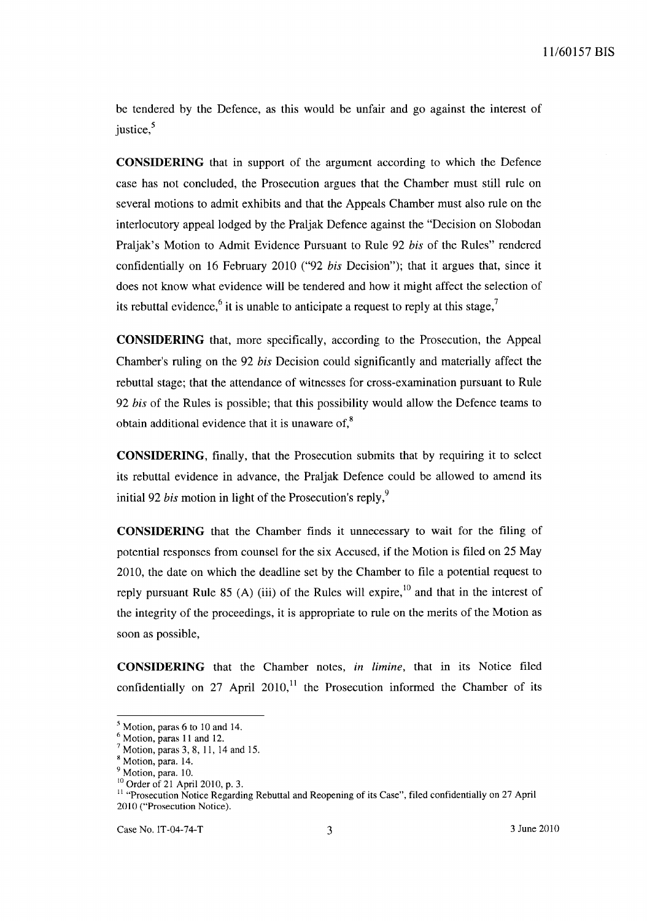be tendered by the Defence, as this would be unfair and go against the interest of justice, $5$ 

**CONSIDERING** that in support of the argument according to which the Defence case has not concluded, the Prosecution argues that the Chamber must still rule on several motions to admit exhibits and that the Appeals Chamber must also rule on the interlocutory appeal lodged by the Praljak Defence against the "Decision on Slobodan Praljak's Motion to Admit Evidence Pursuant to Rule 92 *bis* of the Rules" rendered confidentially on 16 February 2010 ("92 *bis* Decision"); that it argues that, since it does not know what evidence will be tendered and how it might affect the selection of its rebuttal evidence,<sup>6</sup> it is unable to anticipate a request to reply at this stage,<sup>7</sup>

**CONSIDERING** that, more specifically, according to the Prosecution, the Appeal Chamber's ruling on the 92 *bis* Decision could significantly and materially affect the rebuttal stage; that the attendance of witnesses for cross-examination pursuant to Rule *92 bis* of the Rules is possible; that this possibility would allow the Defence teams to obtain additional evidence that it is unaware of, $8<sup>8</sup>$ 

**CONSIDERING,** finally, that the Prosecution submits that by requiring it to select its rebuttal evidence in advance, the Praljak Defence could be allowed to amend its initial 92 *bis* motion in light of the Prosecution's reply,<sup>9</sup>

**CONSIDERING** that the Chamber finds it unnecessary to wait for the filing of potential responses from counsel for the six Accused, if the Motion is filed on 25 May 2010, the date on which the deadline set by the Chamber to file a potential request to reply pursuant Rule 85 (A) (iii) of the Rules will expire,<sup>10</sup> and that in the interest of the integrity of the proceedings, it is appropriate to rule on the merits of the Motion as soon as possible,

**CONSIDERING** that the Chamber notes, *in limine,* that in its Notice filed confidentially on 27 April  $2010$ ,<sup>11</sup> the Prosecution informed the Chamber of its

 $<sup>5</sup>$  Motion, paras 6 to 10 and 14.</sup>

<sup>6</sup> Motion, paras 11 and 12.

 $<sup>7</sup>$  Motion, paras 3, 8, 11, 14 and 15.</sup>

<sup>8</sup> Motion, para. 14.

<sup>&</sup>lt;sup>9</sup> Motion, para. 10.

<sup>&</sup>lt;sup>10</sup> Order of 21 April 2010, p. 3.

<sup>&</sup>lt;sup>11</sup> "Prosecution Notice Regarding Rebuttal and Reopening of its Case", filed confidentially on 27 April 2010 ("Prosecution Notice).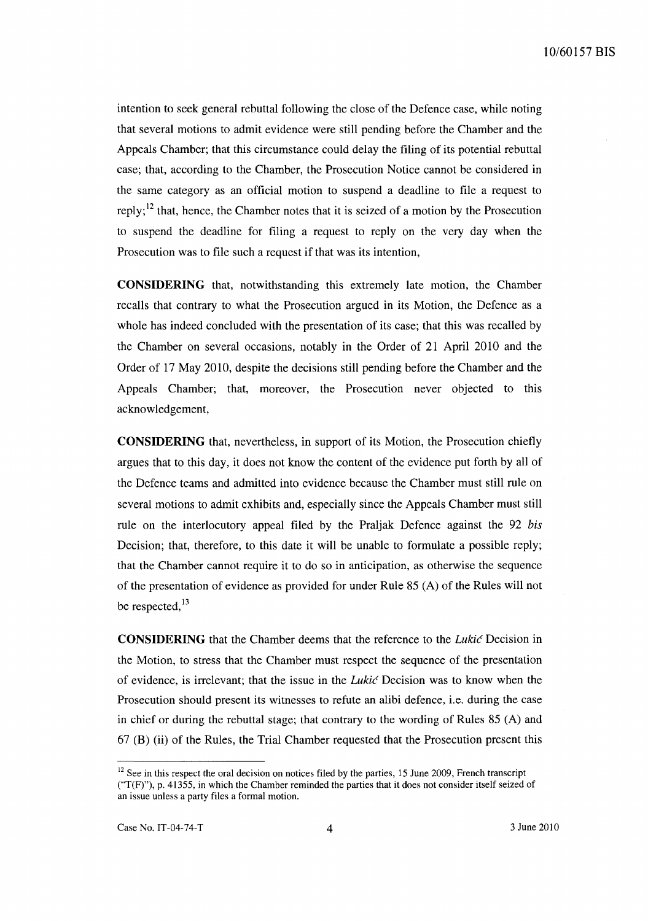intention to seek general rebuttal following the close of the Defence case, while noting that several motions to admit evidence were still pending before the Chamber and the Appeals Chamber; that this circumstance could delay the filing of its potential rebuttal case; that, according to the Chamber, the Prosecution Notice cannot be considered in the same category as an official motion to suspend a deadline to file a request to reply;<sup>12</sup> that, hence, the Chamber notes that it is seized of a motion by the Prosecution to suspend the deadline for filing a request to reply on the very day when the Prosecution was to file such a request if that was its intention,

**CONSIDERING** that, notwithstanding this extremely late motion, the Chamber recalls that contrary to what the Prosecution argued in its Motion, the Defence as a whole has indeed concluded with the presentation of its case; that this was recalled by the Chamber on several occasions, notably in the Order of 21 April 2010 and the Order of 17 May 2010, despite the decisions still pending before the Chamber and the Appeals Chamber; that, moreover, the Prosecution never objected to this acknowledgement,

**CONSIDERING** that, nevertheless, in support of its Motion, the Prosecution chiefly argues that to this day, it does not know the content of the evidence put forth by all of the Defence teams and admitted into evidence because the Chamber must still rule on several motions to admit exhibits and, especially since the Appeals Chamber must still rule on the interlocutory appeal filed by the Praljak Defence against the 92 *bis*  Decision; that, therefore, to this date it will be unable to formulate a possible reply; that the Chamber cannot require it to do so in anticipation, as otherwise the sequence of the presentation of evidence as provided for under Rule 85 CA) of the Rules will not be respected, $^{13}$ 

**CONSIDERING** that the Chamber deems that the reference to the *Lukic* Decision in the Motion, to stress that the Chamber must respect the sequence of the presentation of evidence, is irrelevant; that the issue in the *Lukic* Decision was to know when the Prosecution should present its witnesses to refute an alibi defence, i.e. during the case in chief or during the rebuttal stage; that contrary to the wording of Rules 85 (A) and  $67$  (B) (ii) of the Rules, the Trial Chamber requested that the Prosecution present this

 $12$  See in this respect the oral decision on notices filed by the parties, 15 June 2009, French transcript ("T(F)"), p. 41355, in which the Chamber reminded the parties that it does not consider itself seized of an issue unless a party files a formal motion.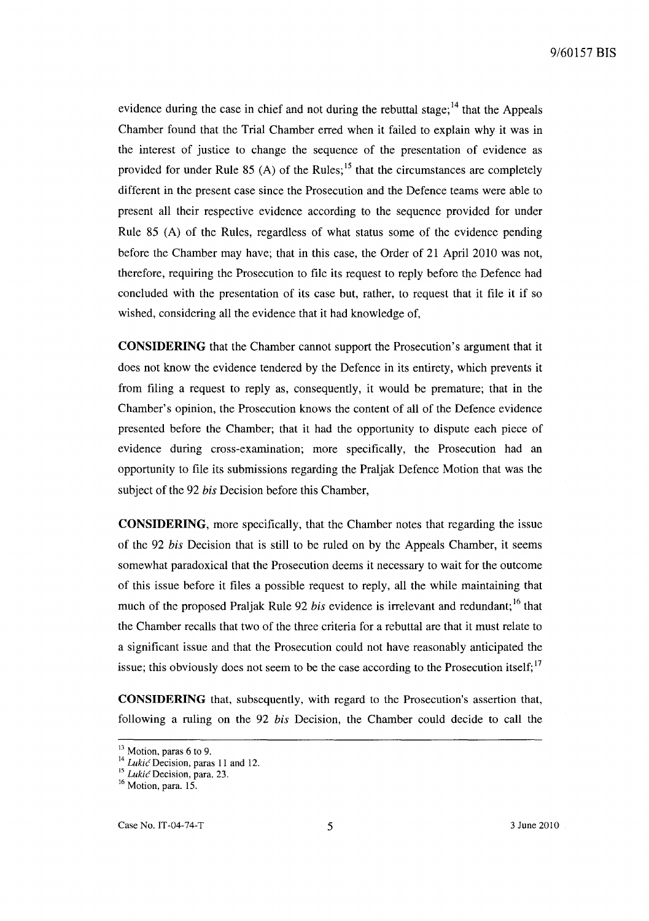evidence during the case in chief and not during the rebuttal stage;  $^{14}$  that the Appeals Chamber found that the Trial Chamber erred when it failed to explain why it was in the interest of justice to change the sequence of the presentation of evidence as provided for under Rule 85 (A) of the Rules;  $15$  that the circumstances are completely different in the present case since the Prosecution and the Defence teams were able to present all their respective evidence according to the sequence provided for under Rule 85 (A) of the Rules, regardless of what status some of the evidence pending before the Chamber may have; that in this case, the Order of 21 April 2010 was not, therefore, requiring the Prosecution to file its request to reply before the Defence had concluded with the presentation of its case but, rather, to request that it file it if so wished, considering all the evidence that it had knowledge of,

**CONSIDERING** that the Chamber cannot support the Prosecution's argument that it does not know the evidence tendered by the Defence in its entirety, which prevents it from filing a request to reply as, consequently, it would be premature; that in the Chamber's opinion, the Prosecution knows the content of all of the Defence evidence presented before the Chamber; that it had the opportunity to dispute each piece of evidence during cross-examination; more specifically, the Prosecution had an opportunity to file its submissions regarding the Praljak Defence Motion that was the subject of the 92 *his* Decision before this Chamber,

**CONSIDERING,** more specifically, that the Chamber notes that regarding the issue of the 92 *his* Decision that is still to be ruled on by the Appeals Chamber, it seems somewhat paradoxical that the Prosecution deems it necessary to wait for the outcome of this issue before it files a possible request to reply, all the while maintaining that much of the proposed Praljak Rule 92 *his* evidence is irrelevant and redundant; 16 that the Chamber recalls that two of the three criteria for a rebuttal are that it must relate to a significant issue and that the Prosecution could not have reasonably anticipated the issue; this obviously does not seem to be the case according to the Prosecution itself; $17$ 

**CONSIDERING** that, subsequently, with regard to the Prosecution's assertion that, following a ruling on the 92 *his* Decision, the Chamber could decide to call the

<sup>&</sup>lt;sup>13</sup> Motion, paras 6 to 9.

<sup>&</sup>lt;sup>14</sup> Lukić Decision, paras 11 and 12.

<sup>15</sup>*Lukic* Decision, para. 23.

<sup>&</sup>lt;sup>16</sup> Motion, para. 15.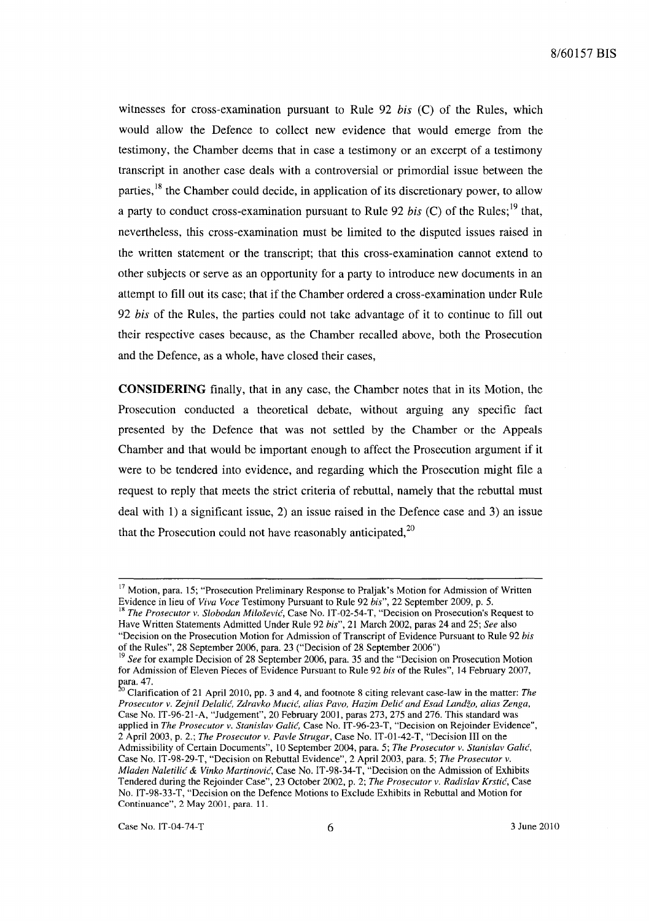witnesses for cross-examination pursuant to Rule 92 *his* (C) of the Rules, which would allow the Defence to collect new evidence that would emerge from the testimony, the Chamber deems that in case a testimony or an excerpt of a testimony transcript in another case deals with a controversial or primordial issue between the parties,<sup>18</sup> the Chamber could decide, in application of its discretionary power, to allow a party to conduct cross-examination pursuant to Rule 92 *his* (C) of the Rules; 19 that, nevertheless, this cross-examination must be limited to the disputed issues raised in the written statement or the transcript; that this cross-examination cannot extend to other subjects or serve as an opportunity for a party to introduce new documents in an attempt to fill out its case; that if the Chamber ordered a cross-examination under Rule *92 his* of the Rules, the parties could not take advantage of it to continue to fill out their respective cases because, as the Chamber recalled above, both the Prosecution and the Defence, as a whole, have closed their cases,

**CONSIDERING** finally, that in any case, the Chamber notes that in its Motion, the Prosecution conducted a theoretical debate, without arguing any specific fact presented by the Defence that was not settled by the Chamber or the Appeals Chamber and that would be important enough to affect the Prosecution argument if it were to be tendered into evidence, and regarding which the Prosecution might file a request to reply that meets the strict criteria of rebuttal, namely that the rebuttal must deal with 1) a significant issue, 2) an issue raised in the Defence case and 3) an issue that the Prosecution could not have reasonably anticipated,  $20$ 

<sup>&</sup>lt;sup>17</sup> Motion, para. 15; "Prosecution Preliminary Response to Praljak's Motion for Admission of Written Evidence in lieu of *Viva Voce* Testimony Pursuant to Rule 92 *bis",* 22 September 2009, p. 5. <sup>18</sup> The Prosecutor v. Slobodan Milošević, Case No. IT-02-54-T, "Decision on Prosecution's Request to

Have Written Statements Admitted Under Rule 92 *bis",* 21 March 2002, paras 24 and 25; *See* also "Decision on the Prosecution Motion for Admission of Transcript of Evidence Pursuant to Rule 92 *bis*  of the Rules", 28 September 2006, para. 23 ("Decision of 28 September 2006")

<sup>19</sup>*See* for example Decision of 28 September 2006, para. 35 and the "Decision on Prosecution Motion for Admission of Eleven Pieces of Evidence Pursuant to Rule 92 *bis* of the Rules", 14 February 2007,

para. 47.<br><sup>20</sup> Clarification of 21 April 2010, pp. 3 and 4, and footnote 8 citing relevant case-law in the matter: *The Prosecutor v. Zejnil Delalic, Zdravko Mucic, alias Pavo, Hazim Delic and Esad Landzo, alias Zenga,*  Case No. IT-96-21-A, "Judgement", 20 February 2001, paras 273, 275 and 276. This standard was applied in *The Prosecutor v. Stanislav Calic,* Case No. IT-96-23-T, "Decision on Rejoinder Evidence", 2 April 2003, p. 2.; *The Prosecutor v. Pavle Strugar,* Case No. IT-0I-42-T, "Decision III on the Admissibility of Certain Documents", 10 September 2004, para. 5; *The Prosecutor v. Stanislav Calic,*  Case No. IT-98-29-T, "Decision on Rebuttal Evidence", 2 April 2003, para. 5; *The Prosecutor v. Mladen Naletilic* & *Vinko Martinovic,* Case No. IT-98-34-T, "Decision on the Admission of Exhibits Tendered during the Rejoinder Case", 23 October 2002, p. 2; *The Prosecutor v. Radislav Krstic,* Case No. IT-98-33-T, "Decision on the Defence Motions to Exclude Exhibits in Rebuttal and Motion for Continuance", 2 May 2001, para. 11.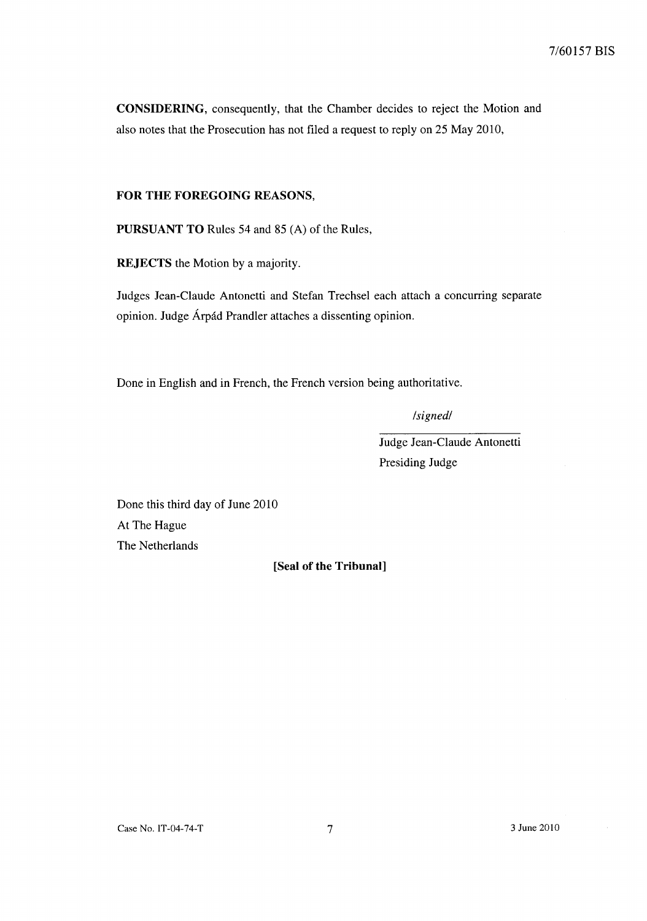**CONSIDERING,** consequently, that the Chamber decides to reject the Motion and also notes that the Prosecution has not filed a request to reply on 25 May 2010,

# **FOR THE FOREGOING REASONS,**

**PURSUANT TO** Rules 54 and 85 (A) of the Rules,

**REJECTS** the Motion by a majority.

Judges Jean-Claude Antonetti and Stefan Trechsel each attach a concurring separate opinion. Judge Arpad Prandler attaches a dissenting opinion.

Done in English and in French, the French version being authoritative.

*/signed/* 

Judge Jean-Claude Antonetti Presiding Judge

Done this third day of June 2010 At The Hague The Netherlands

**[Seal of the Tribunal]** 

Case No. 1T-04-74-T 7 3 June 2010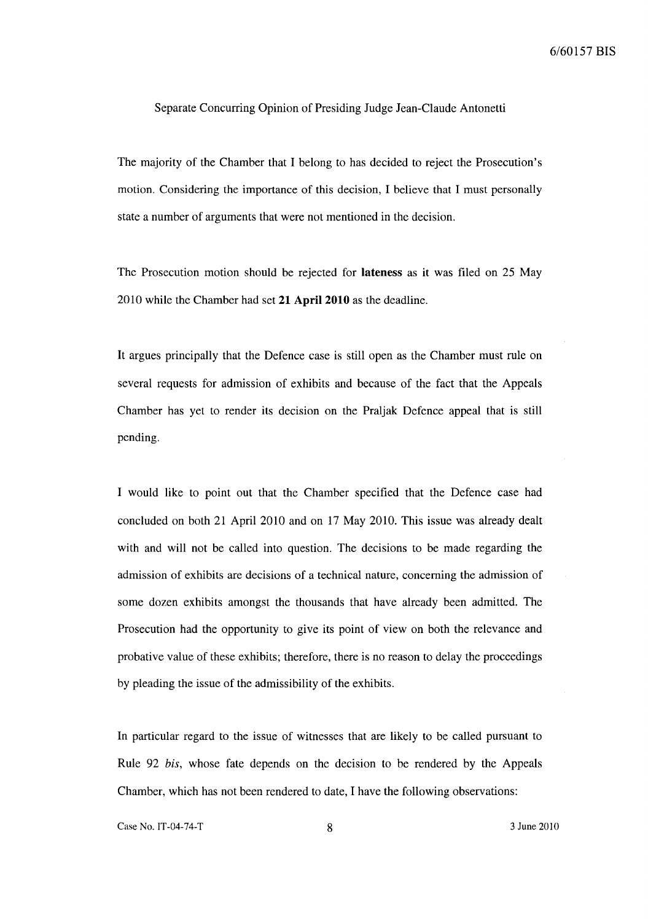#### Separate Concurring Opinion of Presiding Judge Jean-Claude Antonetti

The majority of the Chamber that I belong to has decided to reject the Prosecution's motion. Considering the importance of this decision, I believe that I must personally state a number of arguments that were not mentioned in the decision.

The Prosecution motion should be rejected for **lateness** as it was filed on 25 May 2010 while the Chamber had set **21** April 2010 as the deadline.

It argues principally that the Defence case is still open as the Chamber must rule on several requests for admission of exhibits and because of the fact that the Appeals Chamber has yet to render its decision on the Praljak Defence appeal that is still pending.

I would like to point out that the Chamber specified that the Defence case had concluded on both 21 April 2010 and on 17 May 2010. This issue was already dealt with and will not be called into question. The decisions to be made regarding the admission of exhibits are decisions of a technical nature, concerning the admission of some dozen exhibits amongst the thousands that have already been admitted. The Prosecution had the opportunity to give its point of view on both the relevance and probative value of these exhibits; therefore, there is no reason to delay the proceedings by pleading the issue of the admissibility of the exhibits.

In particular regard to the issue of witnesses that are likely to be called pursuant to Rule 92 *his,* whose fate depends on the decision to be rendered by the Appeals Chamber, which has not been rendered to date, I have the following observations:

Case No. IT-04-74-T 8 3 June 2010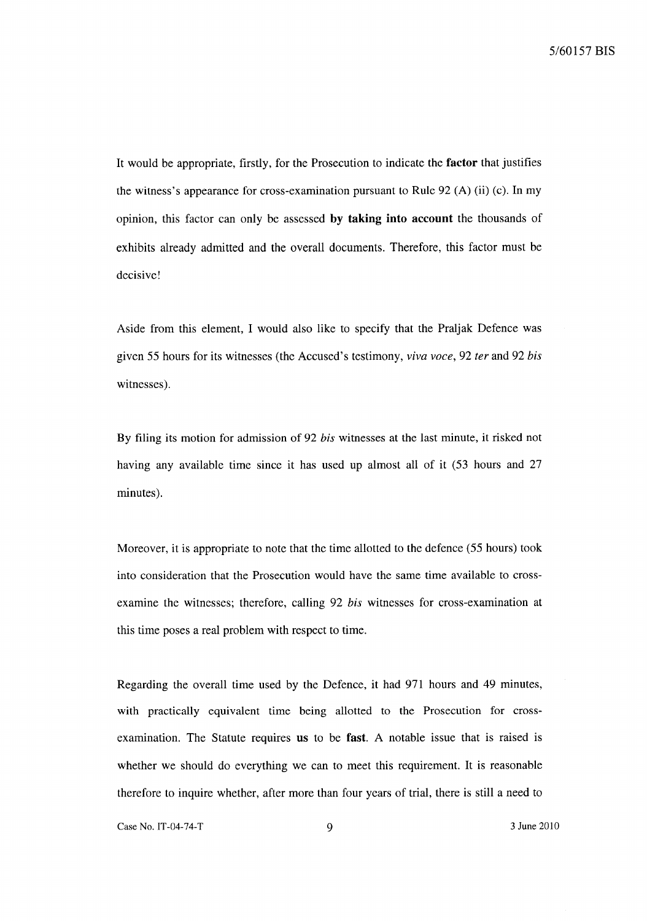It would be appropriate, firstly, for the Prosecution to indicate the factor that justifies the witness's appearance for cross-examination pursuant to Rule 92 (A) (ii) (c). In my opinion, this factor can only be assessed by taking into account the thousands of exhibits already admitted and the overall documents. Therefore, this factor must be decisive!

Aside from this element, I would also like to specify that the Praljak Defence was given 55 hours for its witnesses (the Accused's testimony, *viva voce,* 92 *fer* and 92 *his*  witnesses).

By filing its motion for admission of 92 *his* witnesses at the last minute, it risked not having any available time since it has used up almost all of it (53 hours and 27 minutes).

Moreover, it is appropriate to note that the time allotted to the defence (55 hours) took into consideration that the Prosecution would have the same time available to crossexamine the witnesses; therefore, calling 92 *his* witnesses for cross-examination at this time poses a real problem with respect to time.

Regarding the overall time used by the Defence, it had 971 hours and 49 minutes, with practically equivalent time being allotted to the Prosecution for crossexamination. The Statute requires us to be fast. A notable issue that is raised is whether we should do everything we can to meet this requirement. It is reasonable therefore to inquire whether, after more than four years of trial, there is still a need to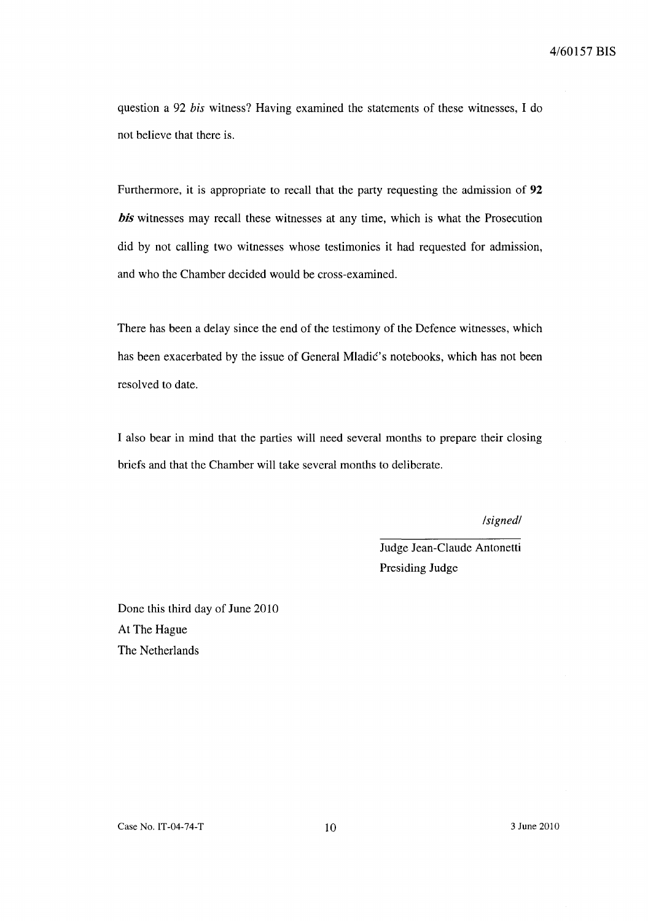question a 92 *his* witness? Having examined the statements of these witnesses, I do not believe that there is.

Furthermore, it is appropriate to recall that the party requesting the admission of **92**  *his* witnesses may recall these witnesses at any time, which is what the Prosecution did by not calling two witnesses whose testimonies it had requested for admission, and who the Chamber decided would be cross-examined.

There has been a delay since the end of the testimony of the Defence witnesses, which has been exacerbated by the issue of General Mladic's notebooks, which has not been resolved to date.

I also bear in mind that the parties will need several months to prepare their closing briefs and that the Chamber will take several months to deliberate.

*/signed/* 

Judge Jean-Claude Antonetti Presiding Judge

Done this third day of June 2010 At The Hague The Netherlands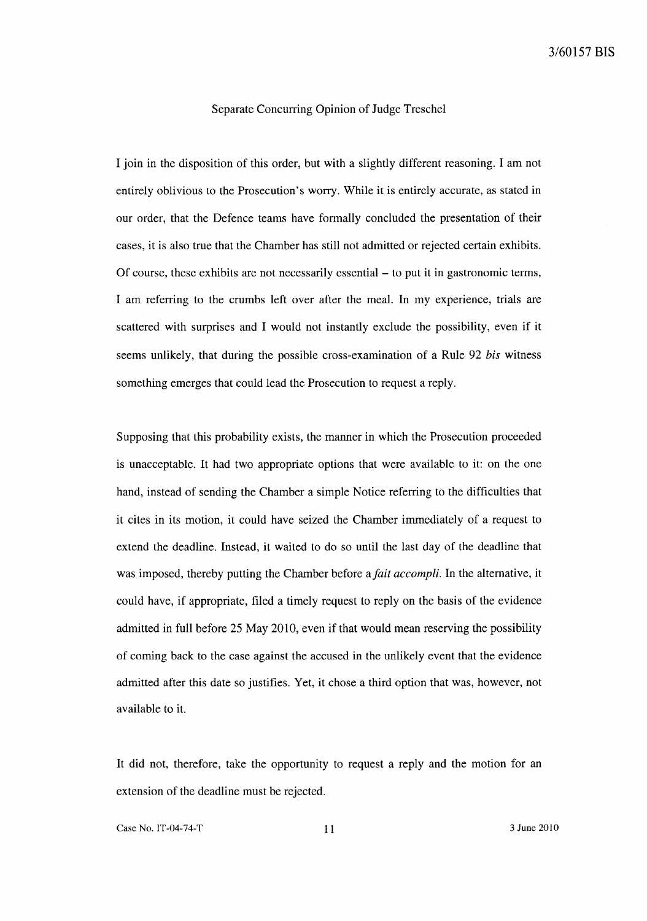## Separate Concurring Opinion of Judge Treschel

I join in the disposition of this order, but with a slightly different reasoning. I am not entirely oblivious to the Prosecution's worry. While it is entirely accurate, as stated in our order, that the Defence teams have formally concluded the presentation of their cases, it is also true that the Chamber has still not admitted or rejected certain exhibits. Of course, these exhibits are not necessarily essential - to put it in gastronomic terms, I am referring to the crumbs left over after the meal. In my experience, trials are scattered with surprises and I would not instantly exclude the possibility, even if it seems unlikely, that during the possible cross-examination of a Rule 92 *his* witness something emerges that could lead the Prosecution to request a reply.

Supposing that this probability exists, the manner in which the Prosecution proceeded is unacceptable. It had two appropriate options that were available to it: on the one hand, instead of sending the Chamber a simple Notice referring to the difficulties that it cites in its motion, it could have seized the Chamber immediately of a request to extend the deadline. Instead, it waited to do so until the last day of the deadline that was imposed, thereby putting the Chamber before *afait accompli.* In the alternative, it could have, if appropriate, filed a timely request to reply on the basis of the evidence admitted in full before 25 May 2010, even if that would mean reserving the possibility of coming back to the case against the accused in the unlikely event that the evidence admitted after this date so justifies. Yet, it chose a third option that was, however, not available to it.

It did not, therefore, take the opportunity to request a reply and the motion for an extension of the deadline must be rejected.

Case No. IT-04-74-T 11 3 June 2010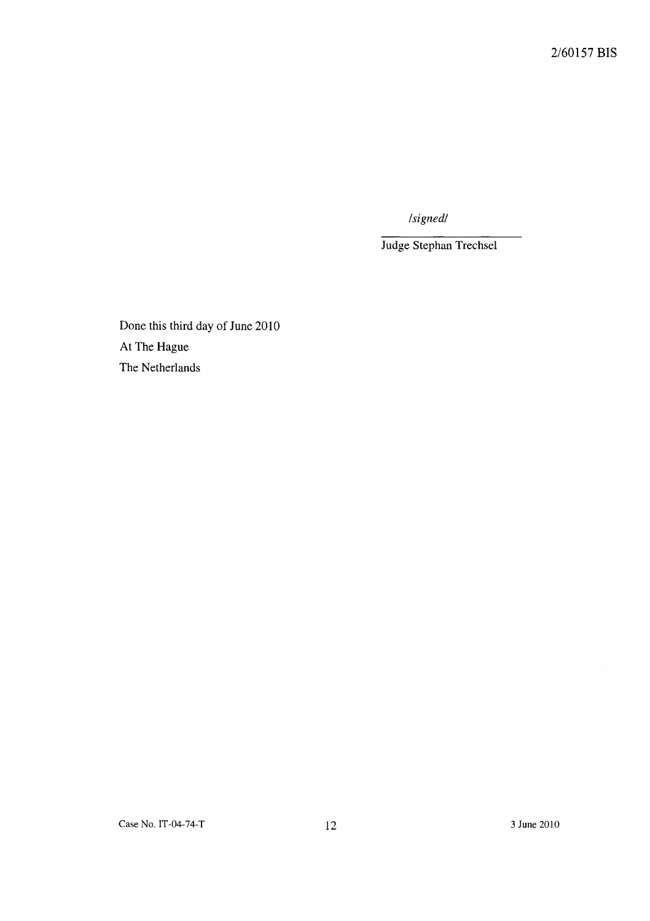*/signed/* 

Judge Stephan Trechsel

Done this third day of June 2010 At The Hague The Netherlands